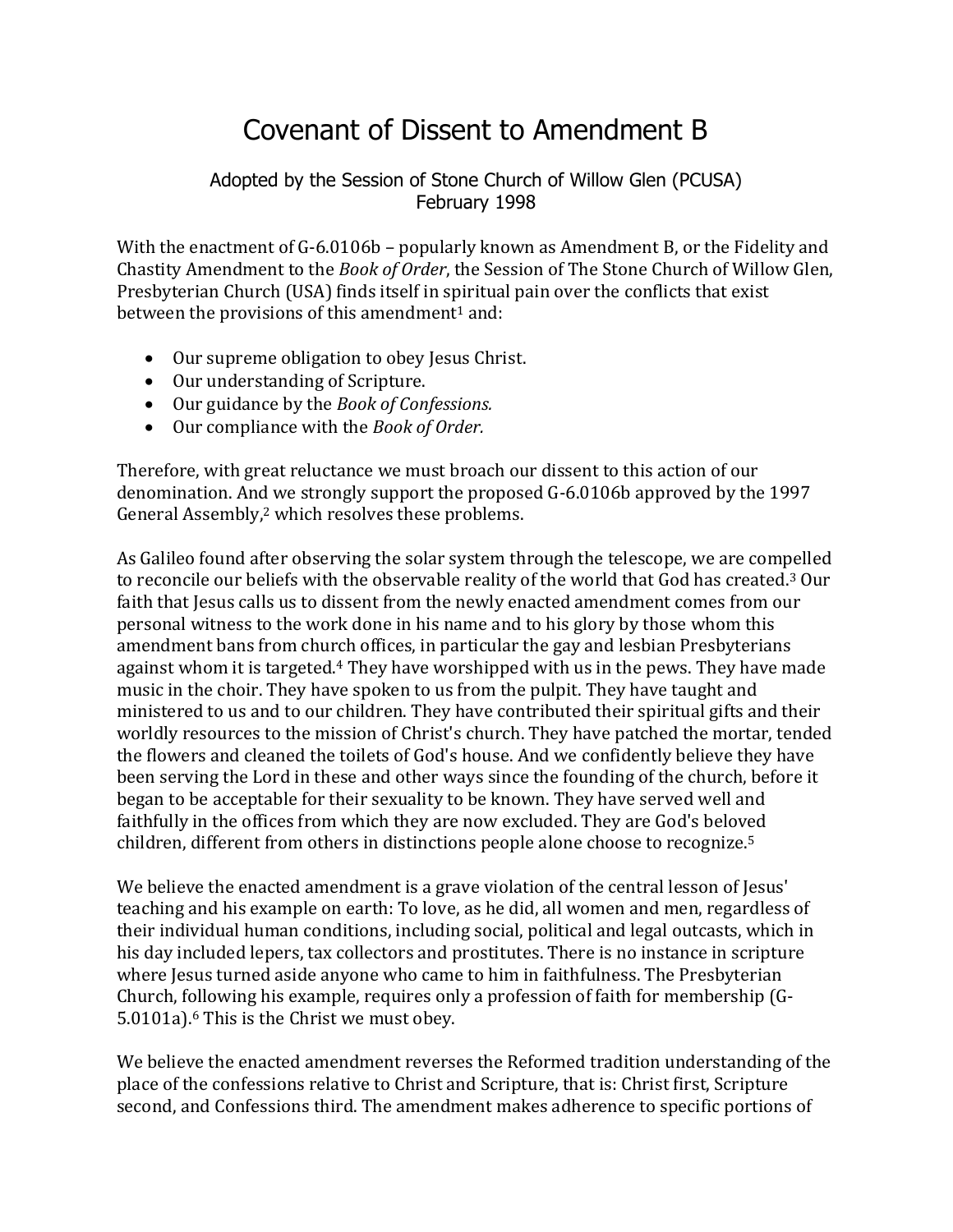## Covenant of Dissent to Amendment B

## Adopted by the Session of Stone Church of Willow Glen (PCUSA) February 1998

With the enactment of G-6.0106b – popularly known as Amendment B, or the Fidelity and Chastity Amendment to the *Book of Order*, the Session of The Stone Church of Willow Glen, Presbyterian Church (USA) finds itself in spiritual pain over the conflicts that exist between the provisions of this amendment<sup>1</sup> and:

- Our supreme obligation to obey Jesus Christ.
- Our understanding of Scripture.
- Our guidance by the *Book of Confessions.*
- Our compliance with the *Book of Order.*

Therefore, with great reluctance we must broach our dissent to this action of our denomination. And we strongly support the proposed G-6.0106b approved by the 1997 General Assembly,<sup>2</sup> which resolves these problems.

As Galileo found after observing the solar system through the telescope, we are compelled to reconcile our beliefs with the observable reality of the world that God has created.<sup>3</sup> Our faith that Jesus calls us to dissent from the newly enacted amendment comes from our personal witness to the work done in his name and to his glory by those whom this amendment bans from church offices, in particular the gay and lesbian Presbyterians against whom it is targeted.<sup>4</sup> They have worshipped with us in the pews. They have made music in the choir. They have spoken to us from the pulpit. They have taught and ministered to us and to our children. They have contributed their spiritual gifts and their worldly resources to the mission of Christ's church. They have patched the mortar, tended the flowers and cleaned the toilets of God's house. And we confidently believe they have been serving the Lord in these and other ways since the founding of the church, before it began to be acceptable for their sexuality to be known. They have served well and faithfully in the offices from which they are now excluded. They are God's beloved children, different from others in distinctions people alone choose to recognize.<sup>5</sup>

We believe the enacted amendment is a grave violation of the central lesson of Jesus' teaching and his example on earth: To love, as he did, all women and men, regardless of their individual human conditions, including social, political and legal outcasts, which in his day included lepers, tax collectors and prostitutes. There is no instance in scripture where Jesus turned aside anyone who came to him in faithfulness. The Presbyterian Church, following his example, requires only a profession of faith for membership (G-5.0101a).<sup>6</sup> This is the Christ we must obey.

We believe the enacted amendment reverses the Reformed tradition understanding of the place of the confessions relative to Christ and Scripture, that is: Christ first, Scripture second, and Confessions third. The amendment makes adherence to specific portions of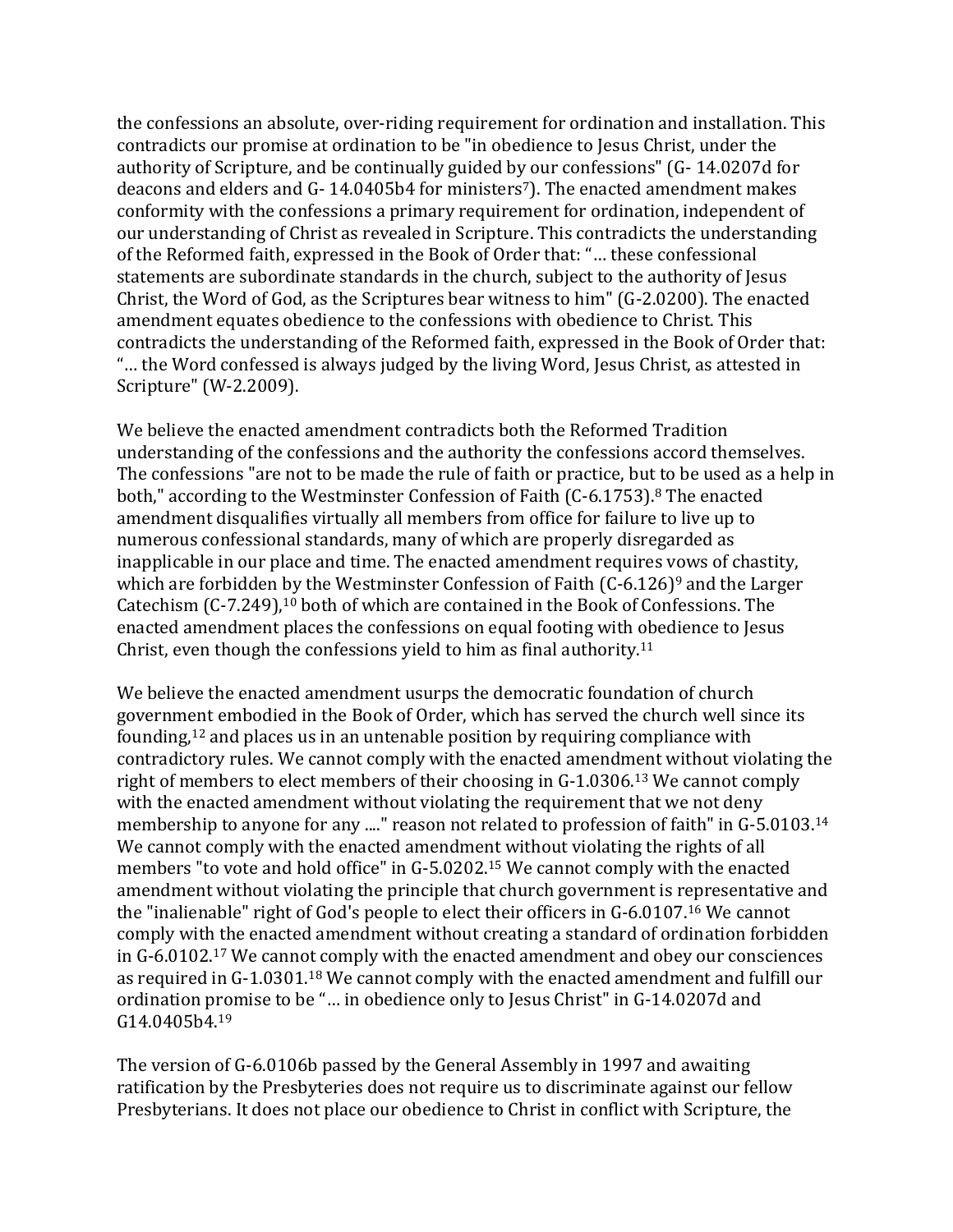the confessions an absolute, over-riding requirement for ordination and installation. This contradicts our promise at ordination to be "in obedience to Jesus Christ, under the authority of Scripture, and be continually guided by our confessions" (G- 14.0207d for deacons and elders and G- 14.0405b4 for ministers<sup>7</sup>). The enacted amendment makes conformity with the confessions a primary requirement for ordination, independent of our understanding of Christ as revealed in Scripture. This contradicts the understanding of the Reformed faith, expressed in the Book of Order that: "… these confessional statements are subordinate standards in the church, subject to the authority of Jesus Christ, the Word of God, as the Scriptures bear witness to him" (G-2.0200). The enacted amendment equates obedience to the confessions with obedience to Christ. This contradicts the understanding of the Reformed faith, expressed in the Book of Order that: "… the Word confessed is always judged by the living Word, Jesus Christ, as attested in Scripture" (W-2.2009).

We believe the enacted amendment contradicts both the Reformed Tradition understanding of the confessions and the authority the confessions accord themselves. The confessions "are not to be made the rule of faith or practice, but to be used as a help in both," according to the Westminster Confession of Faith (C-6.1753). <sup>8</sup> The enacted amendment disqualifies virtually all members from office for failure to live up to numerous confessional standards, many of which are properly disregarded as inapplicable in our place and time. The enacted amendment requires vows of chastity, which are forbidden by the Westminster Confession of Faith (C-6.126)<sup>9</sup> and the Larger Catechism (C-7.249), <sup>10</sup> both of which are contained in the Book of Confessions. The enacted amendment places the confessions on equal footing with obedience to Jesus Christ, even though the confessions yield to him as final authority.<sup>11</sup>

We believe the enacted amendment usurps the democratic foundation of church government embodied in the Book of Order, which has served the church well since its founding,<sup>12</sup> and places us in an untenable position by requiring compliance with contradictory rules. We cannot comply with the enacted amendment without violating the right of members to elect members of their choosing in G-1.0306.<sup>13</sup> We cannot comply with the enacted amendment without violating the requirement that we not deny membership to anyone for any ...." reason not related to profession of faith" in G-5.0103.<sup>14</sup> We cannot comply with the enacted amendment without violating the rights of all members "to vote and hold office" in G-5.0202.<sup>15</sup> We cannot comply with the enacted amendment without violating the principle that church government is representative and the "inalienable" right of God's people to elect their officers in G-6.0107.<sup>16</sup> We cannot comply with the enacted amendment without creating a standard of ordination forbidden in G-6.0102.<sup>17</sup> We cannot comply with the enacted amendment and obey our consciences as required in G-1.0301.<sup>18</sup> We cannot comply with the enacted amendment and fulfill our ordination promise to be "… in obedience only to Jesus Christ" in G-14.0207d and G14.0405b4.<sup>19</sup>

The version of G-6.0106b passed by the General Assembly in 1997 and awaiting ratification by the Presbyteries does not require us to discriminate against our fellow Presbyterians. It does not place our obedience to Christ in conflict with Scripture, the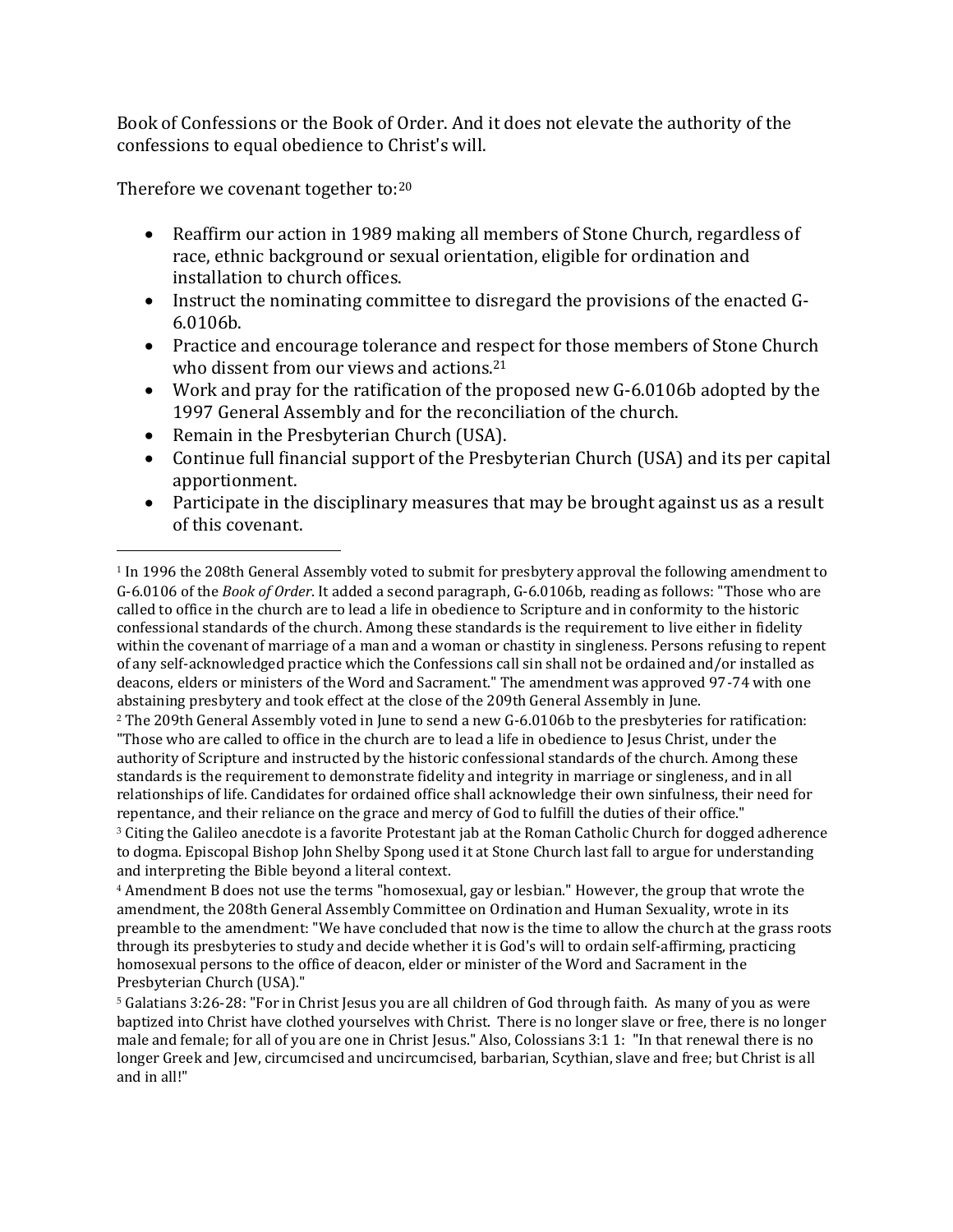Book of Confessions or the Book of Order. And it does not elevate the authority of the confessions to equal obedience to Christ's will.

Therefore we covenant together to:<sup>20</sup>

 $\overline{a}$ 

- Reaffirm our action in 1989 making all members of Stone Church, regardless of race, ethnic background or sexual orientation, eligible for ordination and installation to church offices.
- Instruct the nominating committee to disregard the provisions of the enacted G-6.0106b.
- Practice and encourage tolerance and respect for those members of Stone Church who dissent from our views and actions.<sup>21</sup>
- Work and pray for the ratification of the proposed new G-6.0106b adopted by the 1997 General Assembly and for the reconciliation of the church.
- Remain in the Presbyterian Church (USA).
- Continue full financial support of the Presbyterian Church (USA) and its per capital apportionment.
- Participate in the disciplinary measures that may be brought against us as a result of this covenant.

<sup>2</sup> The 209th General Assembly voted in June to send a new G-6.0106b to the presbyteries for ratification: "Those who are called to office in the church are to lead a life in obedience to Jesus Christ, under the authority of Scripture and instructed by the historic confessional standards of the church. Among these standards is the requirement to demonstrate fidelity and integrity in marriage or singleness, and in all relationships of life. Candidates for ordained office shall acknowledge their own sinfulness, their need for repentance, and their reliance on the grace and mercy of God to fulfill the duties of their office."

<sup>3</sup> Citing the Galileo anecdote is a favorite Protestant jab at the Roman Catholic Church for dogged adherence to dogma. Episcopal Bishop John Shelby Spong used it at Stone Church last fall to argue for understanding and interpreting the Bible beyond a literal context.

<sup>4</sup> Amendment B does not use the terms "homosexual, gay or lesbian." However, the group that wrote the amendment, the 208th General Assembly Committee on Ordination and Human Sexuality, wrote in its preamble to the amendment: "We have concluded that now is the time to allow the church at the grass roots through its presbyteries to study and decide whether it is God's will to ordain self-affirming, practicing homosexual persons to the office of deacon, elder or minister of the Word and Sacrament in the Presbyterian Church (USA)."

<sup>5</sup> Galatians 3:26-28: "For in Christ Jesus you are all children of God through faith. As many of you as were baptized into Christ have clothed yourselves with Christ. There is no longer slave or free, there is no longer male and female; for all of you are one in Christ Jesus." Also, Colossians 3:1 1: "In that renewal there is no longer Greek and Jew, circumcised and uncircumcised, barbarian, Scythian, slave and free; but Christ is all and in all!"

<sup>1</sup> In 1996 the 208th General Assembly voted to submit for presbytery approval the following amendment to G-6.0106 of the *Book of Order*. It added a second paragraph, G-6.0106b, reading as follows: "Those who are called to office in the church are to lead a life in obedience to Scripture and in conformity to the historic confessional standards of the church. Among these standards is the requirement to live either in fidelity within the covenant of marriage of a man and a woman or chastity in singleness. Persons refusing to repent of any self-acknowledged practice which the Confessions call sin shall not be ordained and/or installed as deacons, elders or ministers of the Word and Sacrament." The amendment was approved 97-74 with one abstaining presbytery and took effect at the close of the 209th General Assembly in June.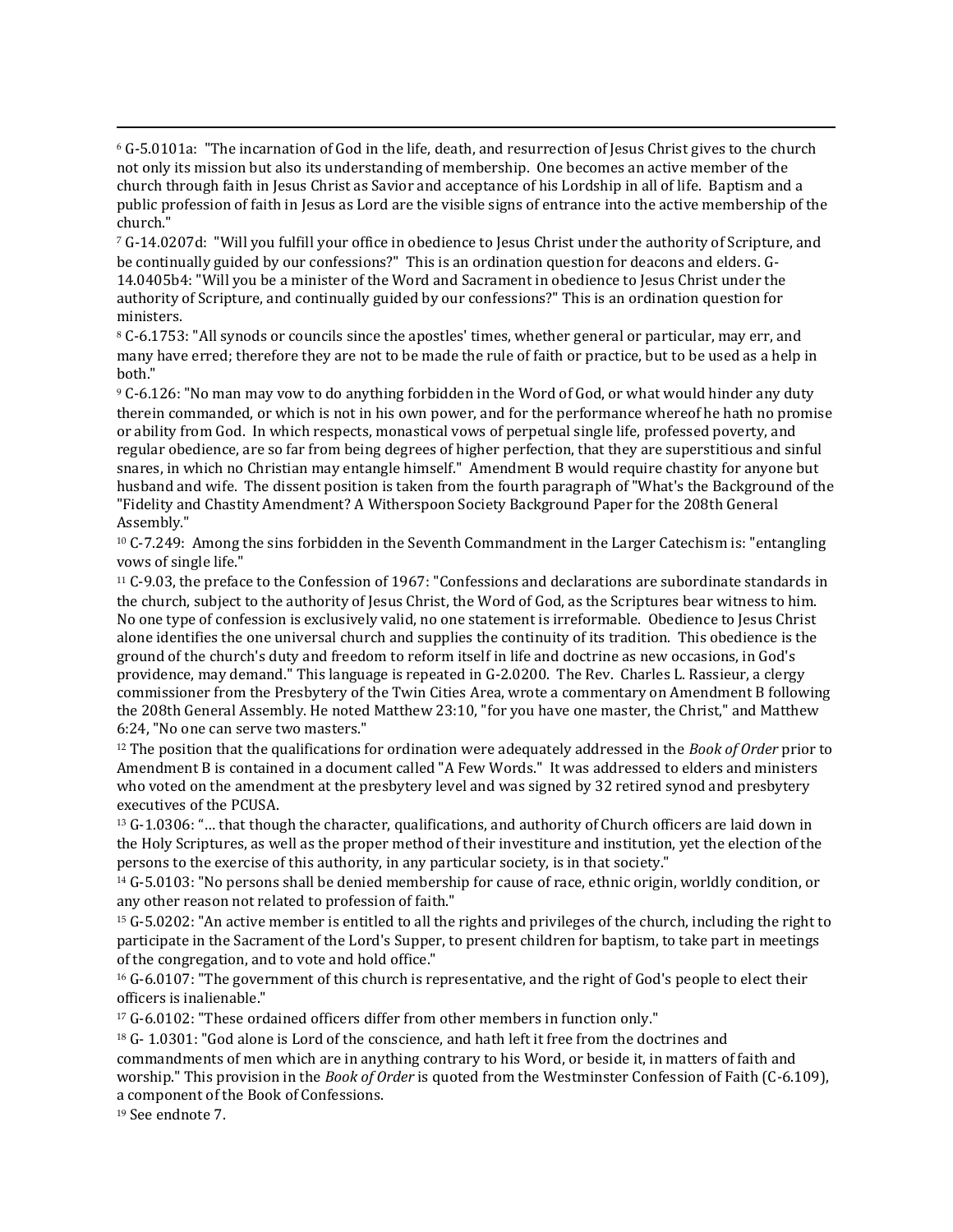<sup>6</sup> G-5.0101a: "The incarnation of God in the life, death, and resurrection of Jesus Christ gives to the church not only its mission but also its understanding of membership. One becomes an active member of the church through faith in Jesus Christ as Savior and acceptance of his Lordship in all of life. Baptism and a public profession of faith in Jesus as Lord are the visible signs of entrance into the active membership of the church."

<sup>7</sup> G-14.0207d: "Will you fulfill your office in obedience to Jesus Christ under the authority of Scripture, and be continually guided by our confessions?" This is an ordination question for deacons and elders. G-14.0405b4: "Will you be a minister of the Word and Sacrament in obedience to Jesus Christ under the authority of Scripture, and continually guided by our confessions?" This is an ordination question for ministers.

<sup>8</sup> C-6.1753: "All synods or councils since the apostles' times, whether general or particular, may err, and many have erred; therefore they are not to be made the rule of faith or practice, but to be used as a help in both."

<sup>9</sup> C-6.126: "No man may vow to do anything forbidden in the Word of God, or what would hinder any duty therein commanded, or which is not in his own power, and for the performance whereof he hath no promise or ability from God. In which respects, monastical vows of perpetual single life, professed poverty, and regular obedience, are so far from being degrees of higher perfection, that they are superstitious and sinful snares, in which no Christian may entangle himself." Amendment B would require chastity for anyone but husband and wife. The dissent position is taken from the fourth paragraph of "What's the Background of the "Fidelity and Chastity Amendment? A Witherspoon Society Background Paper for the 208th General Assembly."

<sup>10</sup> C-7.249: Among the sins forbidden in the Seventh Commandment in the Larger Catechism is: "entangling vows of single life."

<sup>11</sup> C-9.03, the preface to the Confession of 1967: "Confessions and declarations are subordinate standards in the church, subject to the authority of Jesus Christ, the Word of God, as the Scriptures bear witness to him. No one type of confession is exclusively valid, no one statement is irreformable. Obedience to Jesus Christ alone identifies the one universal church and supplies the continuity of its tradition. This obedience is the ground of the church's duty and freedom to reform itself in life and doctrine as new occasions, in God's providence, may demand." This language is repeated in G-2.0200. The Rev. Charles L. Rassieur, a clergy commissioner from the Presbytery of the Twin Cities Area, wrote a commentary on Amendment B following the 208th General Assembly. He noted Matthew 23:10, "for you have one master, the Christ," and Matthew 6:24, "No one can serve two masters."

<sup>12</sup> The position that the qualifications for ordination were adequately addressed in the *Book of Order* prior to Amendment B is contained in a document called "A Few Words." It was addressed to elders and ministers who voted on the amendment at the presbytery level and was signed by 32 retired synod and presbytery executives of the PCUSA.

 $13$  G-1.0306: "... that though the character, qualifications, and authority of Church officers are laid down in the Holy Scriptures, as well as the proper method of their investiture and institution, yet the election of the persons to the exercise of this authority, in any particular society, is in that society."

<sup>14</sup> G-5.0103: "No persons shall be denied membership for cause of race, ethnic origin, worldly condition, or any other reason not related to profession of faith."

<sup>15</sup> G-5.0202: "An active member is entitled to all the rights and privileges of the church, including the right to participate in the Sacrament of the Lord's Supper, to present children for baptism, to take part in meetings of the congregation, and to vote and hold office."

<sup>16</sup> G-6.0107: "The government of this church is representative, and the right of God's people to elect their officers is inalienable."

<sup>17</sup> G-6.0102: "These ordained officers differ from other members in function only."

 $18$  G- 1.0301: "God alone is Lord of the conscience, and hath left it free from the doctrines and commandments of men which are in anything contrary to his Word, or beside it, in matters of faith and worship." This provision in the *Book of Order* is quoted from the Westminster Confession of Faith (C-6.109), a component of the Book of Confessions.

<sup>19</sup> See endnote 7.

 $\overline{a}$